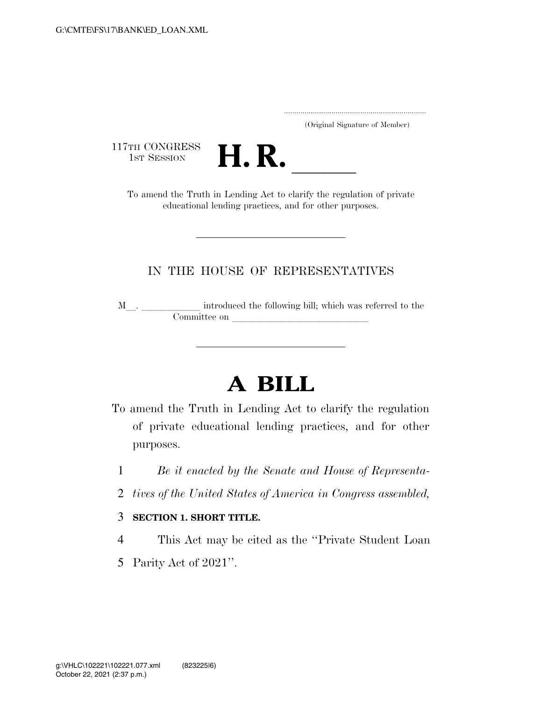..................................................................... (Original Signature of Member)

117TH CONGRESS<br>1st Session



TH CONGRESS<br>1st SESSION **H. R. I. B. CONGRESS**<br>To amend the Truth in Lending Act to clarify the regulation of private educational lending practices, and for other purposes.

## IN THE HOUSE OF REPRESENTATIVES

M\_\_. \_\_\_\_\_\_\_\_\_\_\_\_ introduced the following bill; which was referred to the Committee on leads on label with  $\alpha$ 

## **A BILL**

- To amend the Truth in Lending Act to clarify the regulation of private educational lending practices, and for other purposes.
	- 1 *Be it enacted by the Senate and House of Representa-*
	- 2 *tives of the United States of America in Congress assembled,*
	- 3 **SECTION 1. SHORT TITLE.**
	- 4 This Act may be cited as the ''Private Student Loan
	- 5 Parity Act of 2021''.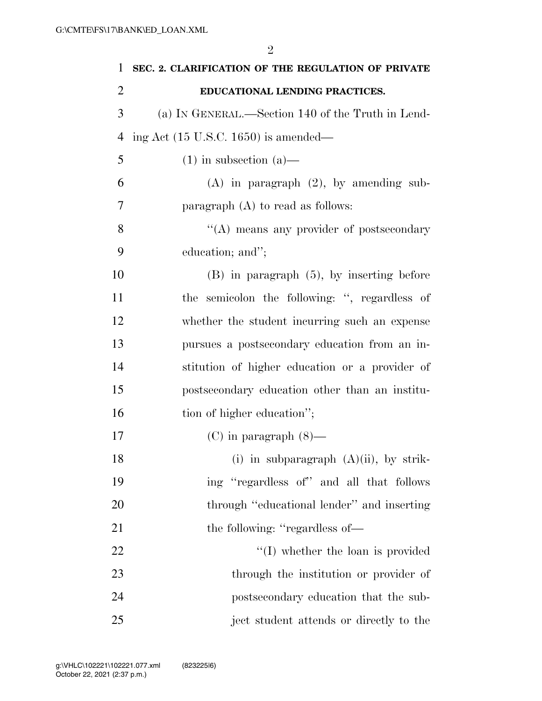| 1              | SEC. 2. CLARIFICATION OF THE REGULATION OF PRIVATE |
|----------------|----------------------------------------------------|
| $\overline{2}$ | EDUCATIONAL LENDING PRACTICES.                     |
| 3              | (a) IN GENERAL.—Section 140 of the Truth in Lend-  |
| 4              | ing Act $(15 \text{ U.S.C. } 1650)$ is amended—    |
| 5              | $(1)$ in subsection $(a)$ —                        |
| 6              | $(A)$ in paragraph $(2)$ , by amending sub-        |
| 7              | paragraph $(A)$ to read as follows:                |
| 8              | "(A) means any provider of postsecondary           |
| 9              | education; and";                                   |
| 10             | $(B)$ in paragraph $(5)$ , by inserting before     |
| 11             | the semicolon the following: ", regardless of      |
| 12             | whether the student incurring such an expense      |
| 13             | pursues a postsecondary education from an in-      |
| 14             | stitution of higher education or a provider of     |
| 15             | postsecondary education other than an institu-     |
| 16             | tion of higher education";                         |
| 17             | $(C)$ in paragraph $(8)$ —                         |
| 18             | (i) in subparagraph $(A)(ii)$ , by strik-          |
| 19             | ing "regardless of" and all that follows           |
| 20             | through "educational lender" and inserting         |
| 21             | the following: "regardless of—                     |
| 22             | $\lq\lq$ (I) whether the loan is provided          |
| 23             | through the institution or provider of             |
| 24             | postsecondary education that the sub-              |
| 25             | ject student attends or directly to the            |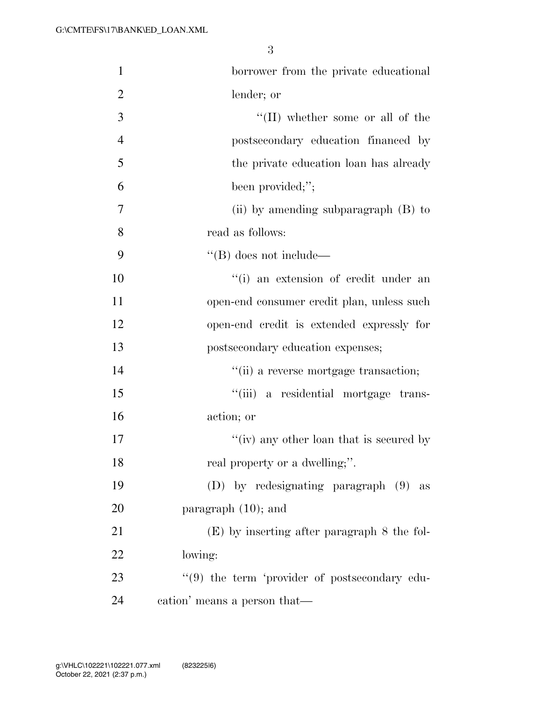| 1              | borrower from the private educational             |
|----------------|---------------------------------------------------|
| $\overline{2}$ | lender; or                                        |
| 3              | $``(II)$ whether some or all of the               |
| $\overline{4}$ | postsecondary education financed by               |
| 5              | the private education loan has already            |
| 6              | been provided;";                                  |
| 7              | (ii) by amending subparagraph $(B)$ to            |
| 8              | read as follows:                                  |
| 9              | $\lq\lq$ (B) does not include—                    |
| 10             | "(i) an extension of credit under an              |
| 11             | open-end consumer credit plan, unless such        |
| 12             | open-end credit is extended expressly for         |
| 13             | postsecondary education expenses;                 |
| 14             | "(ii) a reverse mortgage transaction;             |
| 15             | "(iii) a residential mortgage trans-              |
| 16             | action; or                                        |
| 17             | "(iv) any other loan that is secured by           |
| 18             | real property or a dwelling;".                    |
| 19             | (D) by redesignating paragraph (9) as             |
| 20             | paragraph $(10)$ ; and                            |
| 21             | $(E)$ by inserting after paragraph 8 the fol-     |
| 22             | lowing:                                           |
| 23             | $\lq(9)$ the term 'provider of postsecondary edu- |
| 24             | cation' means a person that—                      |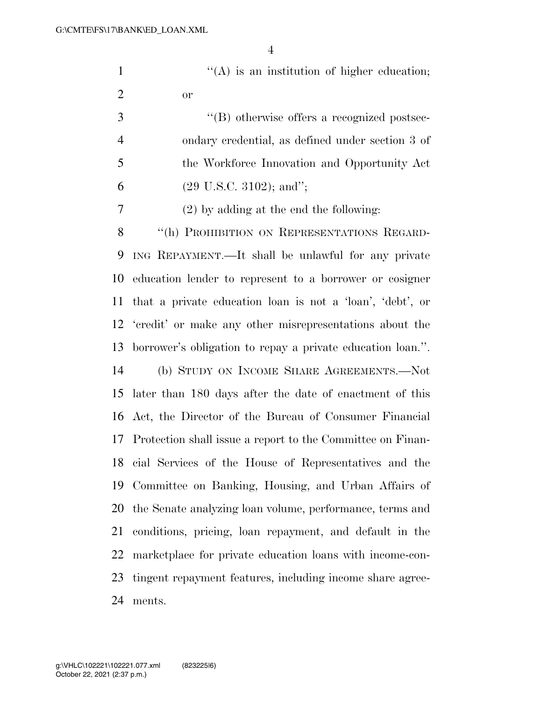$'(\mathbf{A})$  is an institution of higher education; or

 $\langle$  (B) otherwise offers a recognized postsec- ondary credential, as defined under section 3 of the Workforce Innovation and Opportunity Act 6 (29 U.S.C. 3102); and";

(2) by adding at the end the following:

8 "(h) PROHIBITION ON REPRESENTATIONS REGARD- ING REPAYMENT.—It shall be unlawful for any private education lender to represent to a borrower or cosigner that a private education loan is not a 'loan', 'debt', or 'credit' or make any other misrepresentations about the borrower's obligation to repay a private education loan.''. (b) STUDY ON INCOME SHARE AGREEMENTS.—Not later than 180 days after the date of enactment of this Act, the Director of the Bureau of Consumer Financial Protection shall issue a report to the Committee on Finan- cial Services of the House of Representatives and the Committee on Banking, Housing, and Urban Affairs of the Senate analyzing loan volume, performance, terms and conditions, pricing, loan repayment, and default in the marketplace for private education loans with income-con- tingent repayment features, including income share agree-ments.